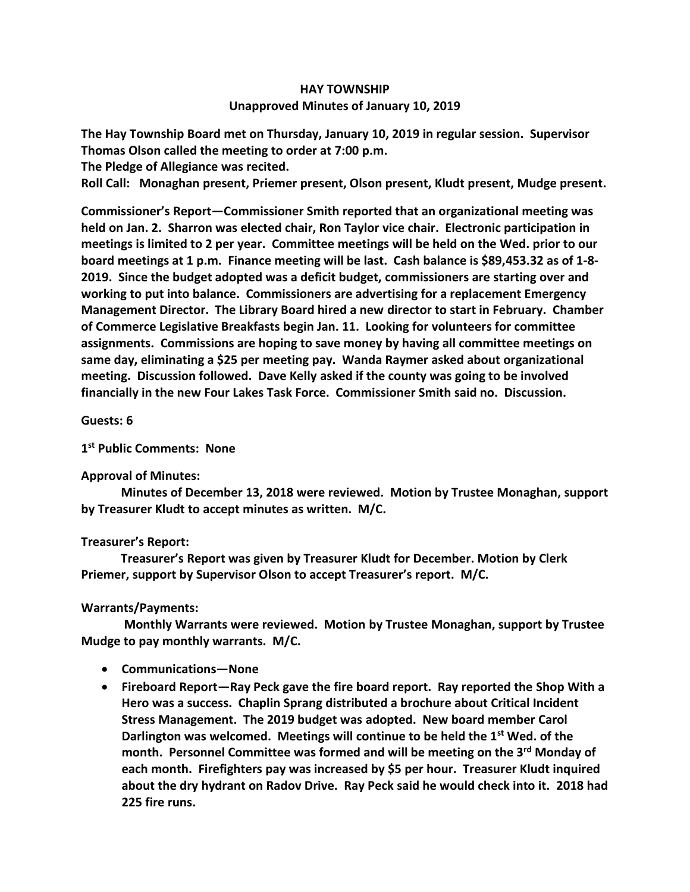# **HAY TOWNSHIP Unapproved Minutes of January 10, 2019**

**The Hay Township Board met on Thursday, January 10, 2019 in regular session. Supervisor Thomas Olson called the meeting to order at 7:00 p.m.** 

**The Pledge of Allegiance was recited.** 

**Roll Call: Monaghan present, Priemer present, Olson present, Kludt present, Mudge present.**

**Commissioner's Report—Commissioner Smith reported that an organizational meeting was held on Jan. 2. Sharron was elected chair, Ron Taylor vice chair. Electronic participation in meetings is limited to 2 per year. Committee meetings will be held on the Wed. prior to our board meetings at 1 p.m. Finance meeting will be last. Cash balance is \$89,453.32 as of 1-8- 2019. Since the budget adopted was a deficit budget, commissioners are starting over and working to put into balance. Commissioners are advertising for a replacement Emergency Management Director. The Library Board hired a new director to start in February. Chamber of Commerce Legislative Breakfasts begin Jan. 11. Looking for volunteers for committee assignments. Commissions are hoping to save money by having all committee meetings on same day, eliminating a \$25 per meeting pay. Wanda Raymer asked about organizational meeting. Discussion followed. Dave Kelly asked if the county was going to be involved financially in the new Four Lakes Task Force. Commissioner Smith said no. Discussion.**

## **Guests: 6**

## **1 st Public Comments: None**

#### **Approval of Minutes:**

 **Minutes of December 13, 2018 were reviewed. Motion by Trustee Monaghan, support by Treasurer Kludt to accept minutes as written. M/C.**

#### **Treasurer's Report:**

 **Treasurer's Report was given by Treasurer Kludt for December. Motion by Clerk Priemer, support by Supervisor Olson to accept Treasurer's report. M/C.**

# **Warrants/Payments:**

 **Monthly Warrants were reviewed. Motion by Trustee Monaghan, support by Trustee Mudge to pay monthly warrants. M/C.** 

- **Communications—None**
- **Fireboard Report—Ray Peck gave the fire board report. Ray reported the Shop With a Hero was a success. Chaplin Sprang distributed a brochure about Critical Incident Stress Management. The 2019 budget was adopted. New board member Carol Darlington was welcomed. Meetings will continue to be held the 1st Wed. of the month. Personnel Committee was formed and will be meeting on the 3rd Monday of each month. Firefighters pay was increased by \$5 per hour. Treasurer Kludt inquired about the dry hydrant on Radov Drive. Ray Peck said he would check into it. 2018 had 225 fire runs.**